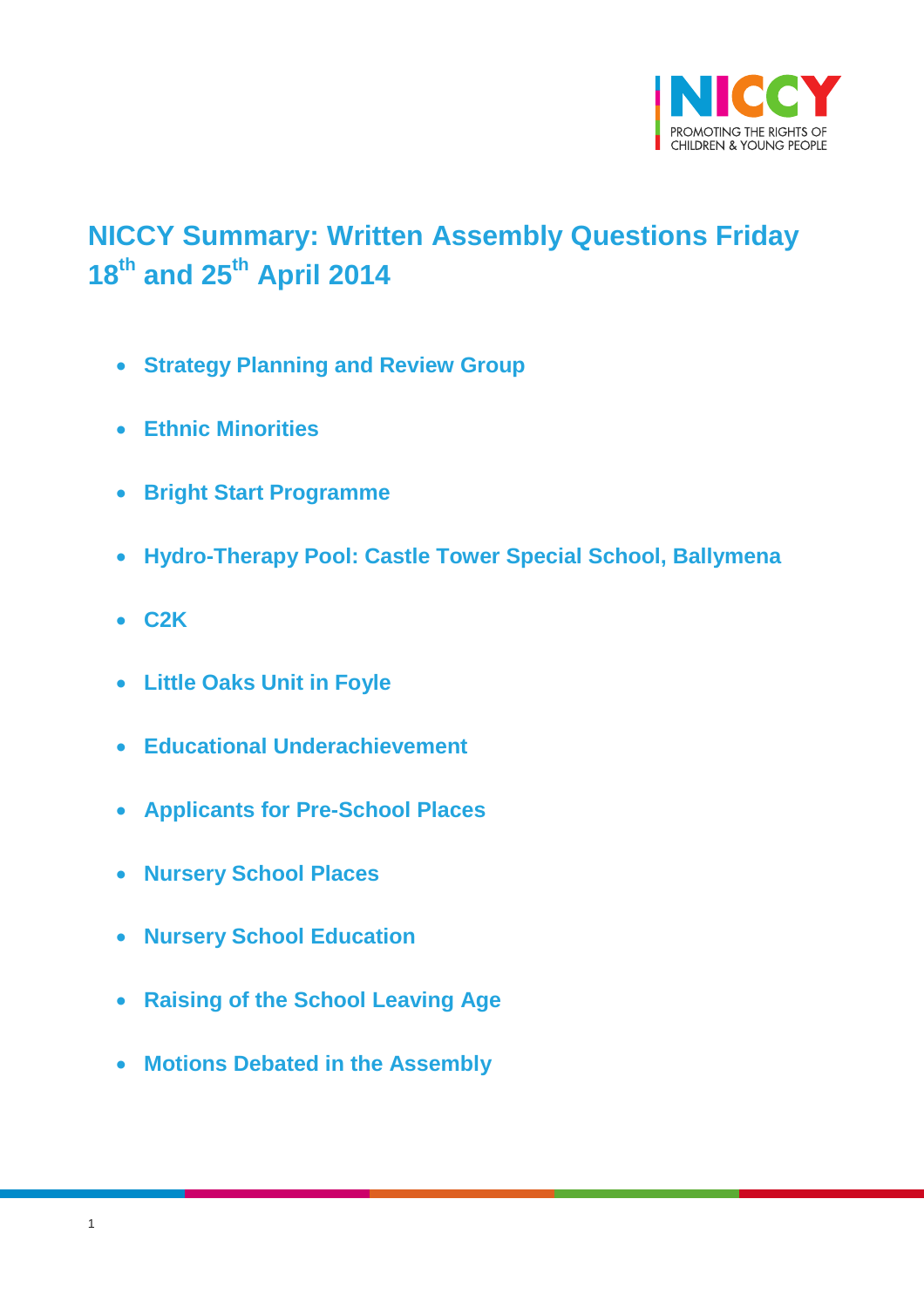

# <span id="page-0-0"></span>**NICCY Summary: Written Assembly Questions Friday 18th and 25th April 2014**

- **[Strategy Planning and Review Group](#page-1-0)**
- **[Ethnic Minorities](#page-3-0)**
- **[Bright Start Programme](#page-4-0)**
- **[Hydro-Therapy Pool: Castle Tower Special School, Ballymena](#page-5-0)**
- **[C2K](#page-5-1)**
- **[Little Oaks Unit in Foyle](#page-6-0)**
- **[Educational Underachievement](#page-6-1)**
- **[Applicants for Pre-School Places](#page-7-0)**
- **[Nursery School Places](#page-8-0)**
- **[Nursery School Education](#page-9-0)**
- **[Raising of the School Leaving Age](#page-9-1)**
- **[Motions Debated in the Assembly](#page-10-0)**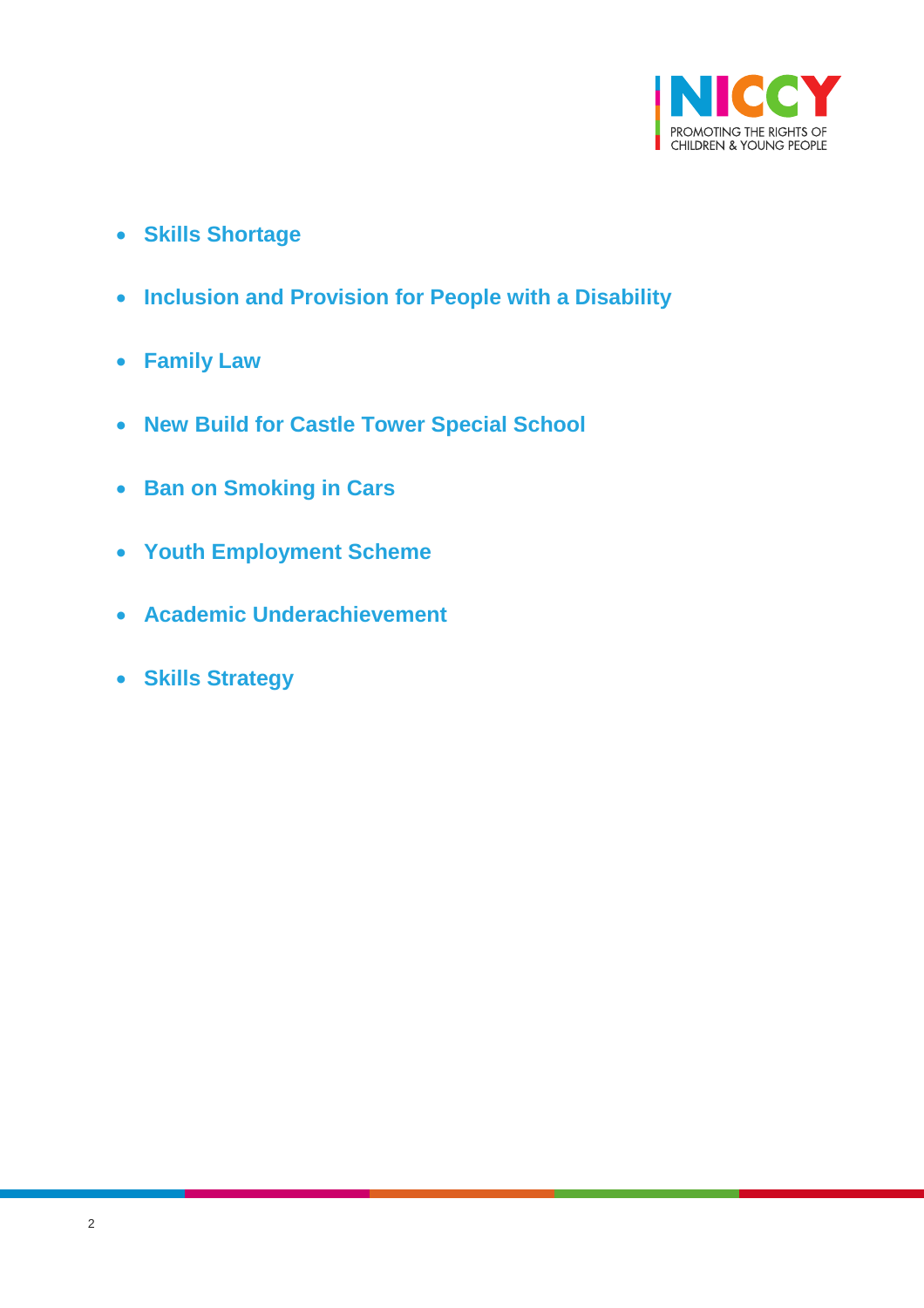

- **[Skills Shortage](#page-12-0)**
- **[Inclusion and Provision for People with a Disability](#page-14-0)**
- **[Family Law](#page-14-1)**
- **[New Build for Castle Tower Special School](#page-15-0)**
- **[Ban on Smoking in Cars](#page-15-1)**
- **[Youth Employment Scheme](#page-16-0)**
- **[Academic Underachievement](#page-17-0)**
- <span id="page-1-0"></span>**[Skills Strategy](#page-19-0)**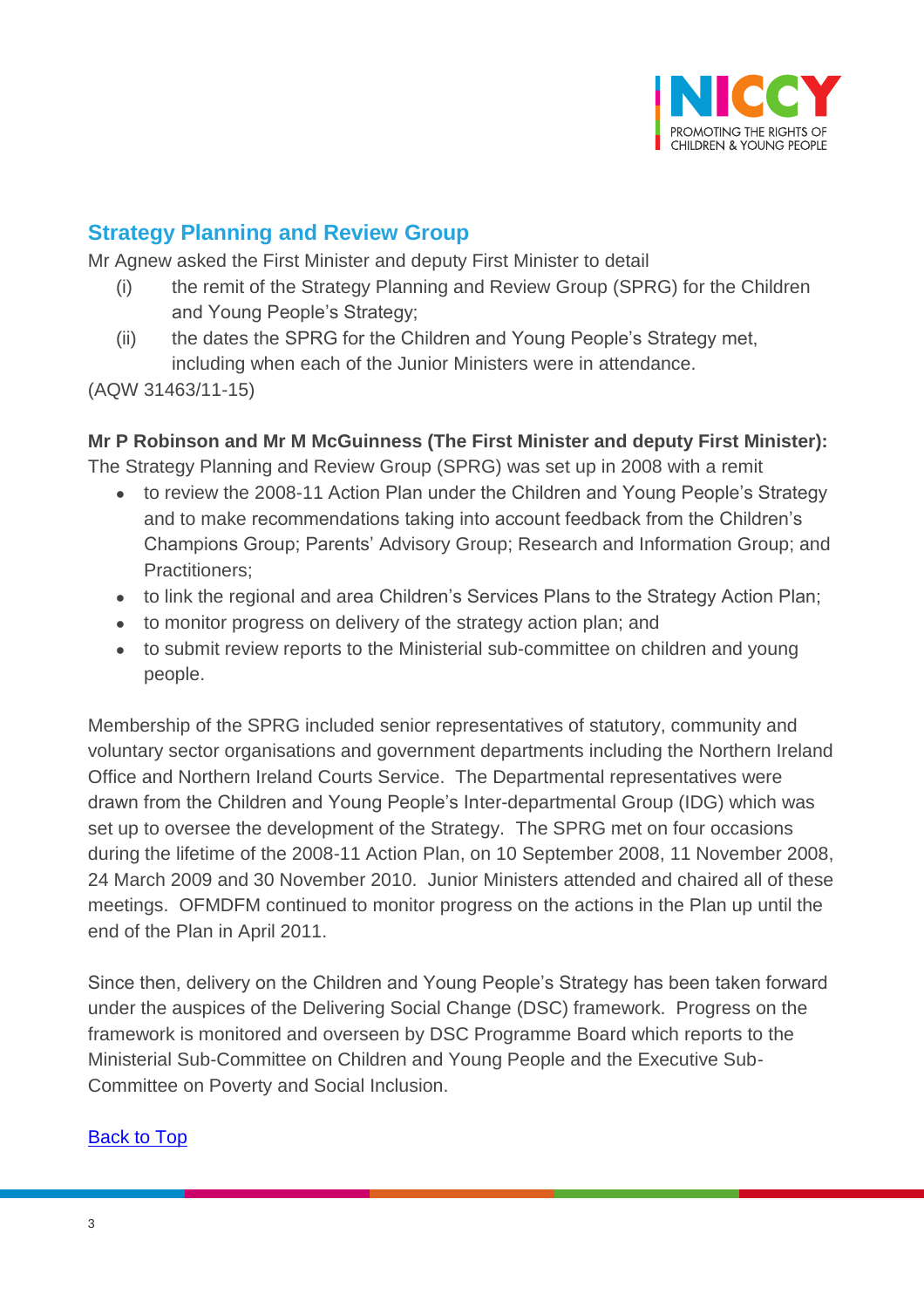

## **Strategy Planning and Review Group**

Mr Agnew asked the First Minister and deputy First Minister to detail

- (i) the remit of the Strategy Planning and Review Group (SPRG) for the Children and Young People's Strategy;
- (ii) the dates the SPRG for the Children and Young People's Strategy met, including when each of the Junior Ministers were in attendance.

(AQW 31463/11-15)

### **Mr P Robinson and Mr M McGuinness (The First Minister and deputy First Minister):**

The Strategy Planning and Review Group (SPRG) was set up in 2008 with a remit

- to review the 2008-11 Action Plan under the Children and Young People's Strategy and to make recommendations taking into account feedback from the Children's Champions Group; Parents' Advisory Group; Research and Information Group; and Practitioners;
- to link the regional and area Children's Services Plans to the Strategy Action Plan;
- to monitor progress on delivery of the strategy action plan; and
- to submit review reports to the Ministerial sub-committee on children and young people.

Membership of the SPRG included senior representatives of statutory, community and voluntary sector organisations and government departments including the Northern Ireland Office and Northern Ireland Courts Service. The Departmental representatives were drawn from the Children and Young People's Inter-departmental Group (IDG) which was set up to oversee the development of the Strategy. The SPRG met on four occasions during the lifetime of the 2008-11 Action Plan, on 10 September 2008, 11 November 2008, 24 March 2009 and 30 November 2010. Junior Ministers attended and chaired all of these meetings. OFMDFM continued to monitor progress on the actions in the Plan up until the end of the Plan in April 2011.

Since then, delivery on the Children and Young People's Strategy has been taken forward under the auspices of the Delivering Social Change (DSC) framework. Progress on the framework is monitored and overseen by DSC Programme Board which reports to the Ministerial Sub-Committee on Children and Young People and the Executive Sub-Committee on Poverty and Social Inclusion.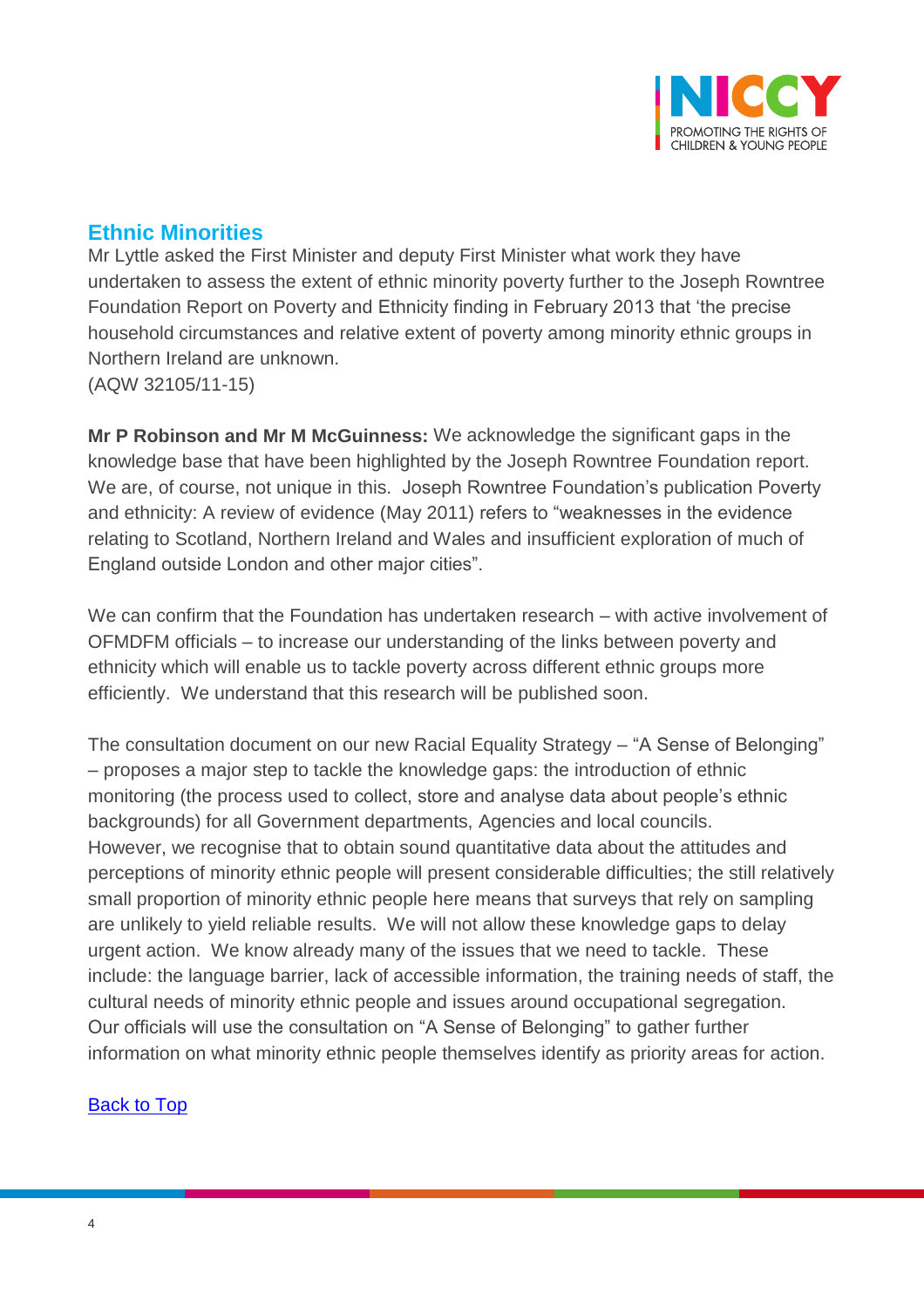

## <span id="page-3-0"></span>**Ethnic Minorities**

Mr Lyttle asked the First Minister and deputy First Minister what work they have undertaken to assess the extent of ethnic minority poverty further to the Joseph Rowntree Foundation Report on Poverty and Ethnicity finding in February 2013 that 'the precise household circumstances and relative extent of poverty among minority ethnic groups in Northern Ireland are unknown. (AQW 32105/11-15)

**Mr P Robinson and Mr M McGuinness:** We acknowledge the significant gaps in the knowledge base that have been highlighted by the Joseph Rowntree Foundation report. We are, of course, not unique in this. Joseph Rowntree Foundation's publication Poverty and ethnicity: A review of evidence (May 2011) refers to "weaknesses in the evidence relating to Scotland, Northern Ireland and Wales and insufficient exploration of much of England outside London and other major cities".

We can confirm that the Foundation has undertaken research – with active involvement of OFMDFM officials – to increase our understanding of the links between poverty and ethnicity which will enable us to tackle poverty across different ethnic groups more efficiently. We understand that this research will be published soon.

The consultation document on our new Racial Equality Strategy – "A Sense of Belonging" – proposes a major step to tackle the knowledge gaps: the introduction of ethnic monitoring (the process used to collect, store and analyse data about people's ethnic backgrounds) for all Government departments, Agencies and local councils. However, we recognise that to obtain sound quantitative data about the attitudes and perceptions of minority ethnic people will present considerable difficulties; the still relatively small proportion of minority ethnic people here means that surveys that rely on sampling are unlikely to yield reliable results. We will not allow these knowledge gaps to delay urgent action. We know already many of the issues that we need to tackle. These include: the language barrier, lack of accessible information, the training needs of staff, the cultural needs of minority ethnic people and issues around occupational segregation. Our officials will use the consultation on "A Sense of Belonging" to gather further information on what minority ethnic people themselves identify as priority areas for action.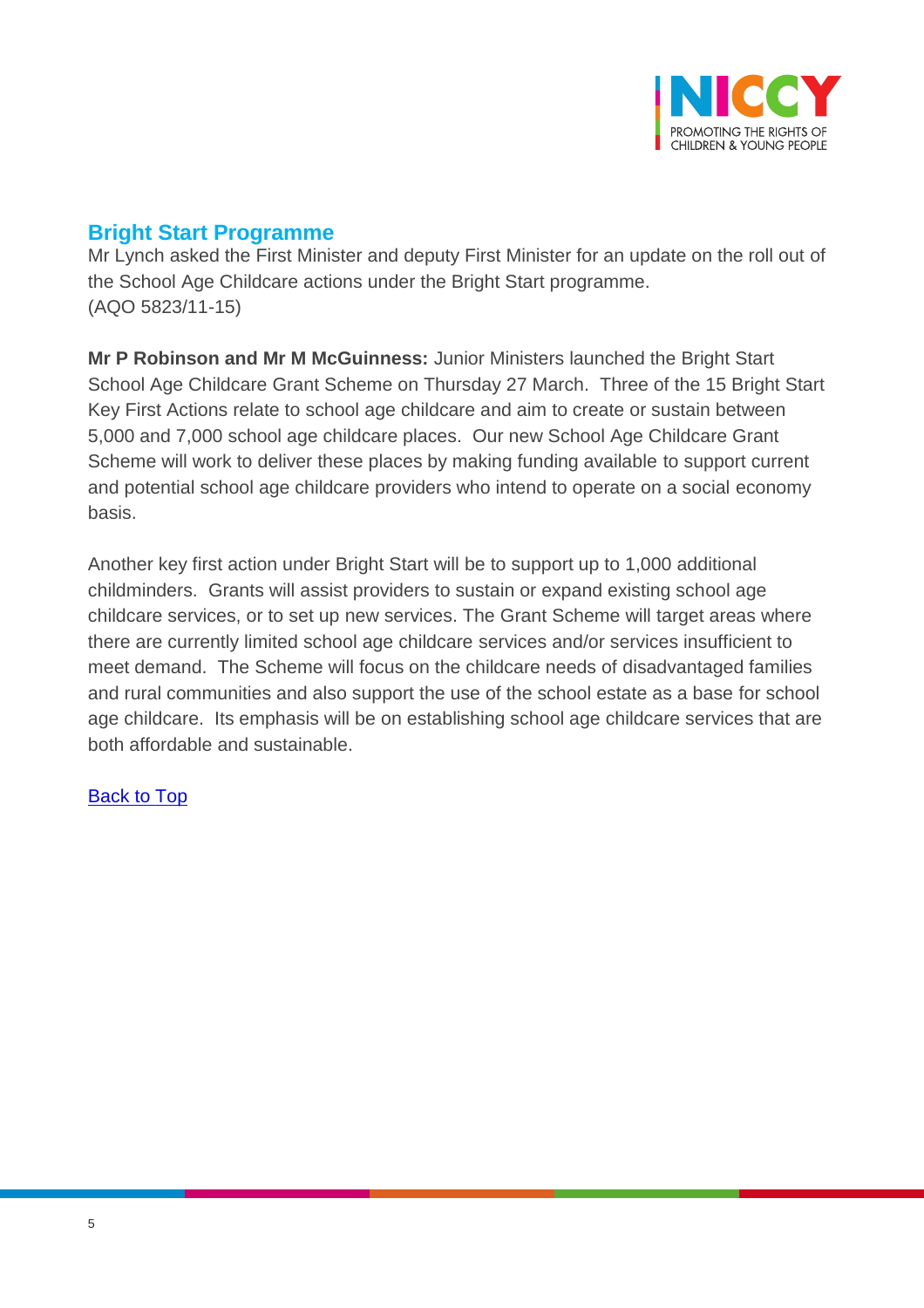

### <span id="page-4-0"></span>**Bright Start Programme**

Mr Lynch asked the First Minister and deputy First Minister for an update on the roll out of the School Age Childcare actions under the Bright Start programme. (AQO 5823/11-15)

**Mr P Robinson and Mr M McGuinness:** Junior Ministers launched the Bright Start School Age Childcare Grant Scheme on Thursday 27 March. Three of the 15 Bright Start Key First Actions relate to school age childcare and aim to create or sustain between 5,000 and 7,000 school age childcare places. Our new School Age Childcare Grant Scheme will work to deliver these places by making funding available to support current and potential school age childcare providers who intend to operate on a social economy basis.

Another key first action under Bright Start will be to support up to 1,000 additional childminders. Grants will assist providers to sustain or expand existing school age childcare services, or to set up new services. The Grant Scheme will target areas where there are currently limited school age childcare services and/or services insufficient to meet demand. The Scheme will focus on the childcare needs of disadvantaged families and rural communities and also support the use of the school estate as a base for school age childcare. Its emphasis will be on establishing school age childcare services that are both affordable and sustainable.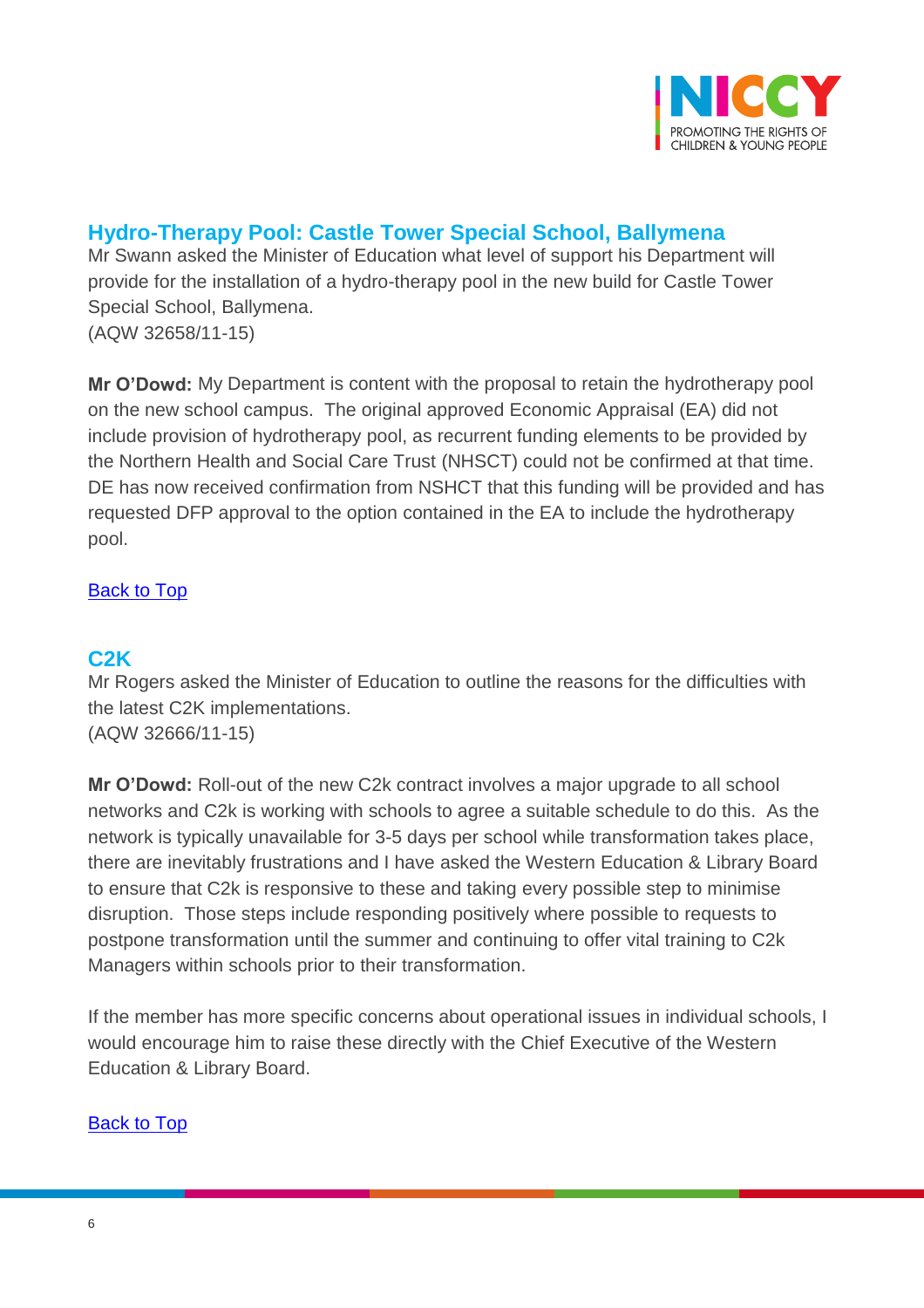

# <span id="page-5-0"></span>**Hydro-Therapy Pool: Castle Tower Special School, Ballymena**

Mr Swann asked the Minister of Education what level of support his Department will provide for the installation of a hydro-therapy pool in the new build for Castle Tower Special School, Ballymena. (AQW 32658/11-15)

**Mr O'Dowd:** My Department is content with the proposal to retain the hydrotherapy pool on the new school campus. The original approved Economic Appraisal (EA) did not include provision of hydrotherapy pool, as recurrent funding elements to be provided by the Northern Health and Social Care Trust (NHSCT) could not be confirmed at that time. DE has now received confirmation from NSHCT that this funding will be provided and has requested DFP approval to the option contained in the EA to include the hydrotherapy pool.

### [Back to Top](#page-0-0)

### <span id="page-5-1"></span>**C2K**

Mr Rogers asked the Minister of Education to outline the reasons for the difficulties with the latest C2K implementations. (AQW 32666/11-15)

**Mr O'Dowd:** Roll-out of the new C2k contract involves a major upgrade to all school networks and C2k is working with schools to agree a suitable schedule to do this. As the network is typically unavailable for 3-5 days per school while transformation takes place, there are inevitably frustrations and I have asked the Western Education & Library Board to ensure that C2k is responsive to these and taking every possible step to minimise disruption. Those steps include responding positively where possible to requests to postpone transformation until the summer and continuing to offer vital training to C2k Managers within schools prior to their transformation.

If the member has more specific concerns about operational issues in individual schools, I would encourage him to raise these directly with the Chief Executive of the Western Education & Library Board.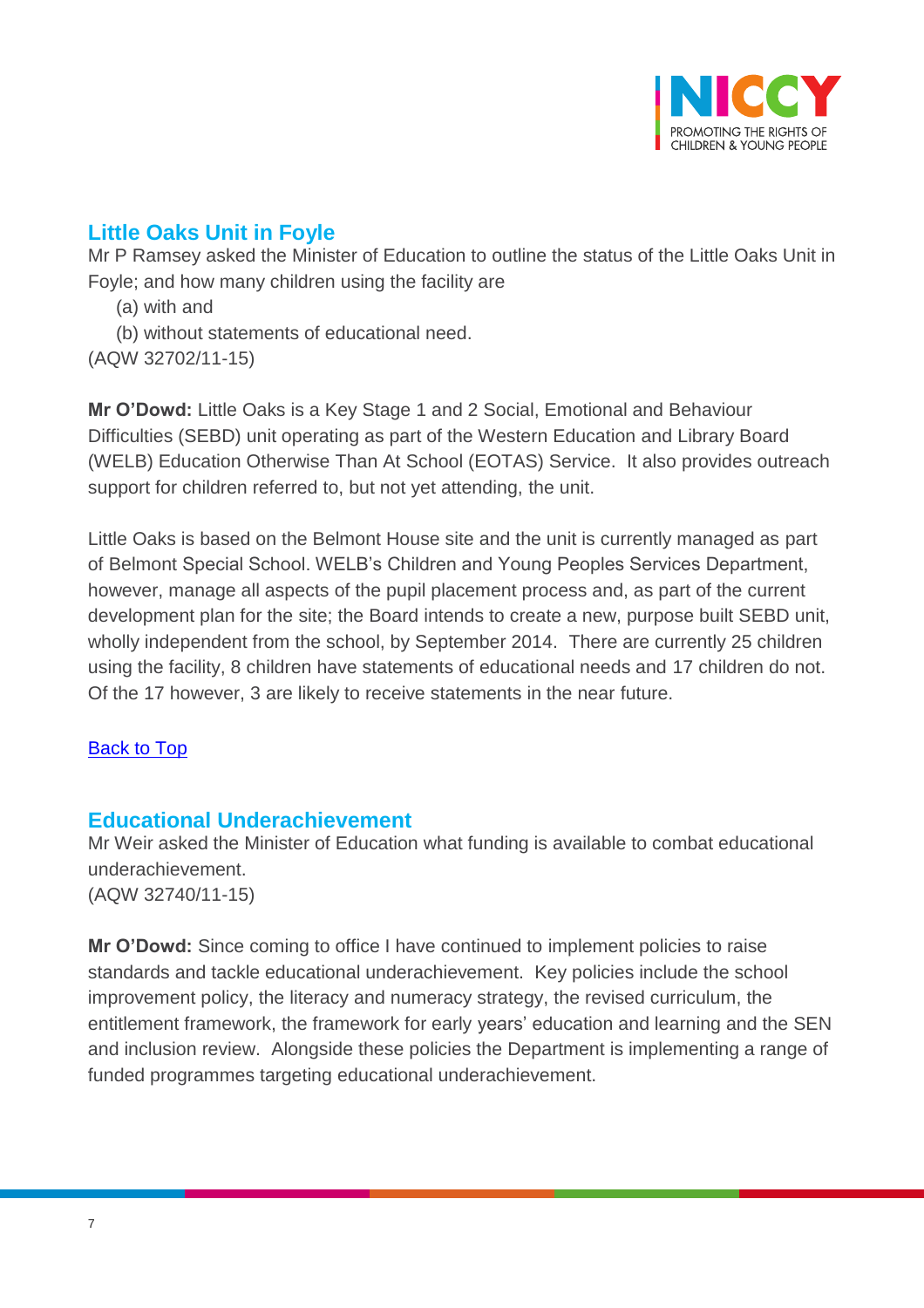

# <span id="page-6-0"></span>**Little Oaks Unit in Foyle**

Mr P Ramsey asked the Minister of Education to outline the status of the Little Oaks Unit in Foyle; and how many children using the facility are

- (a) with and
- (b) without statements of educational need.

(AQW 32702/11-15)

**Mr O'Dowd:** Little Oaks is a Key Stage 1 and 2 Social, Emotional and Behaviour Difficulties (SEBD) unit operating as part of the Western Education and Library Board (WELB) Education Otherwise Than At School (EOTAS) Service. It also provides outreach support for children referred to, but not yet attending, the unit.

Little Oaks is based on the Belmont House site and the unit is currently managed as part of Belmont Special School. WELB's Children and Young Peoples Services Department, however, manage all aspects of the pupil placement process and, as part of the current development plan for the site; the Board intends to create a new, purpose built SEBD unit, wholly independent from the school, by September 2014. There are currently 25 children using the facility, 8 children have statements of educational needs and 17 children do not. Of the 17 however, 3 are likely to receive statements in the near future.

### [Back to Top](#page-0-0)

### <span id="page-6-1"></span>**Educational Underachievement**

Mr Weir asked the Minister of Education what funding is available to combat educational underachievement. (AQW 32740/11-15)

**Mr O'Dowd:** Since coming to office I have continued to implement policies to raise standards and tackle educational underachievement. Key policies include the school improvement policy, the literacy and numeracy strategy, the revised curriculum, the entitlement framework, the framework for early years' education and learning and the SEN and inclusion review. Alongside these policies the Department is implementing a range of funded programmes targeting educational underachievement.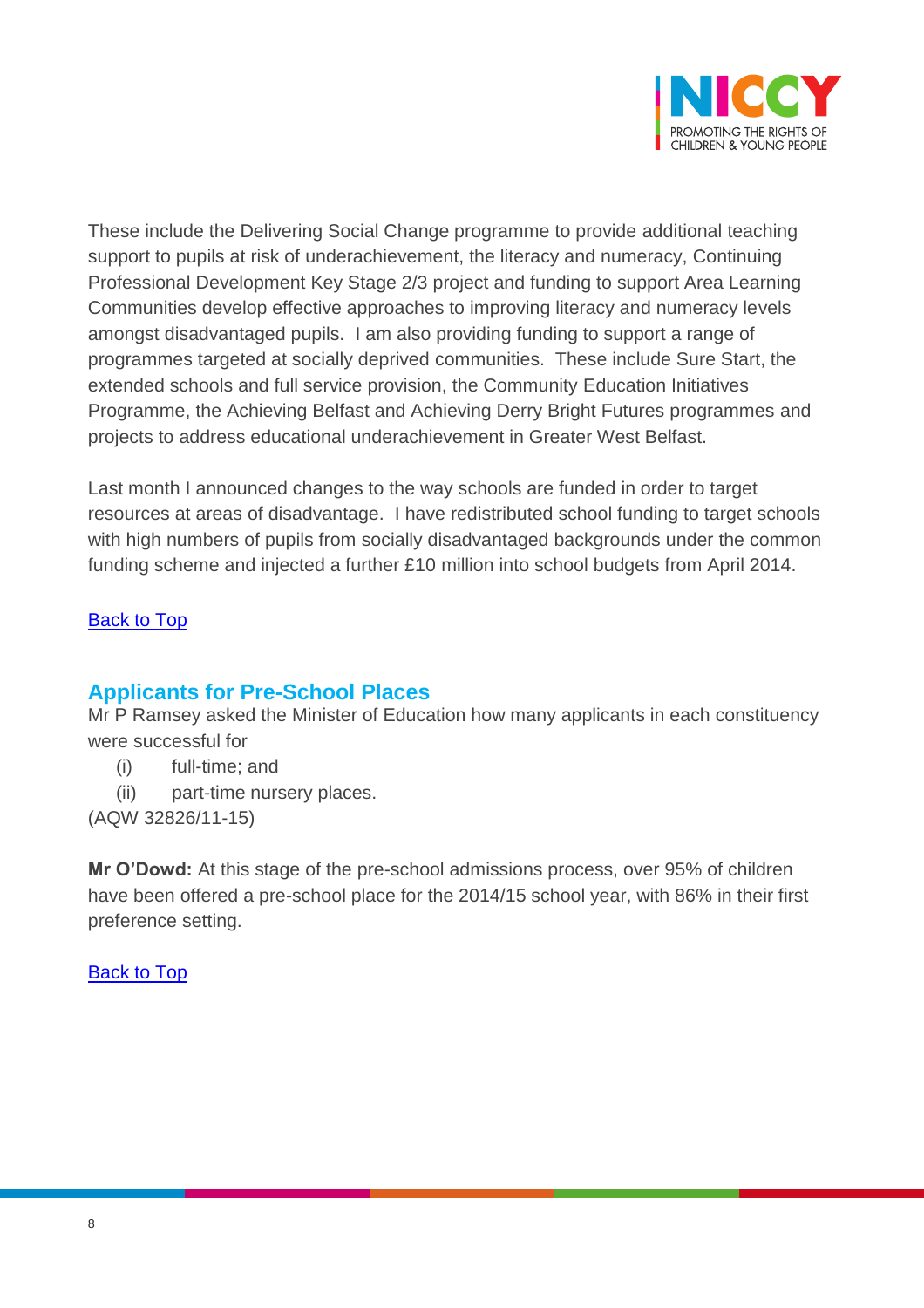

These include the Delivering Social Change programme to provide additional teaching support to pupils at risk of underachievement, the literacy and numeracy, Continuing Professional Development Key Stage 2/3 project and funding to support Area Learning Communities develop effective approaches to improving literacy and numeracy levels amongst disadvantaged pupils. I am also providing funding to support a range of programmes targeted at socially deprived communities. These include Sure Start, the extended schools and full service provision, the Community Education Initiatives Programme, the Achieving Belfast and Achieving Derry Bright Futures programmes and projects to address educational underachievement in Greater West Belfast.

Last month I announced changes to the way schools are funded in order to target resources at areas of disadvantage. I have redistributed school funding to target schools with high numbers of pupils from socially disadvantaged backgrounds under the common funding scheme and injected a further £10 million into school budgets from April 2014.

### [Back to Top](#page-0-0)

### <span id="page-7-0"></span>**Applicants for Pre-School Places**

Mr P Ramsey asked the Minister of Education how many applicants in each constituency were successful for

- (i) full-time; and
- (ii) part-time nursery places.

(AQW 32826/11-15)

**Mr O'Dowd:** At this stage of the pre-school admissions process, over 95% of children have been offered a pre-school place for the 2014/15 school year, with 86% in their first preference setting.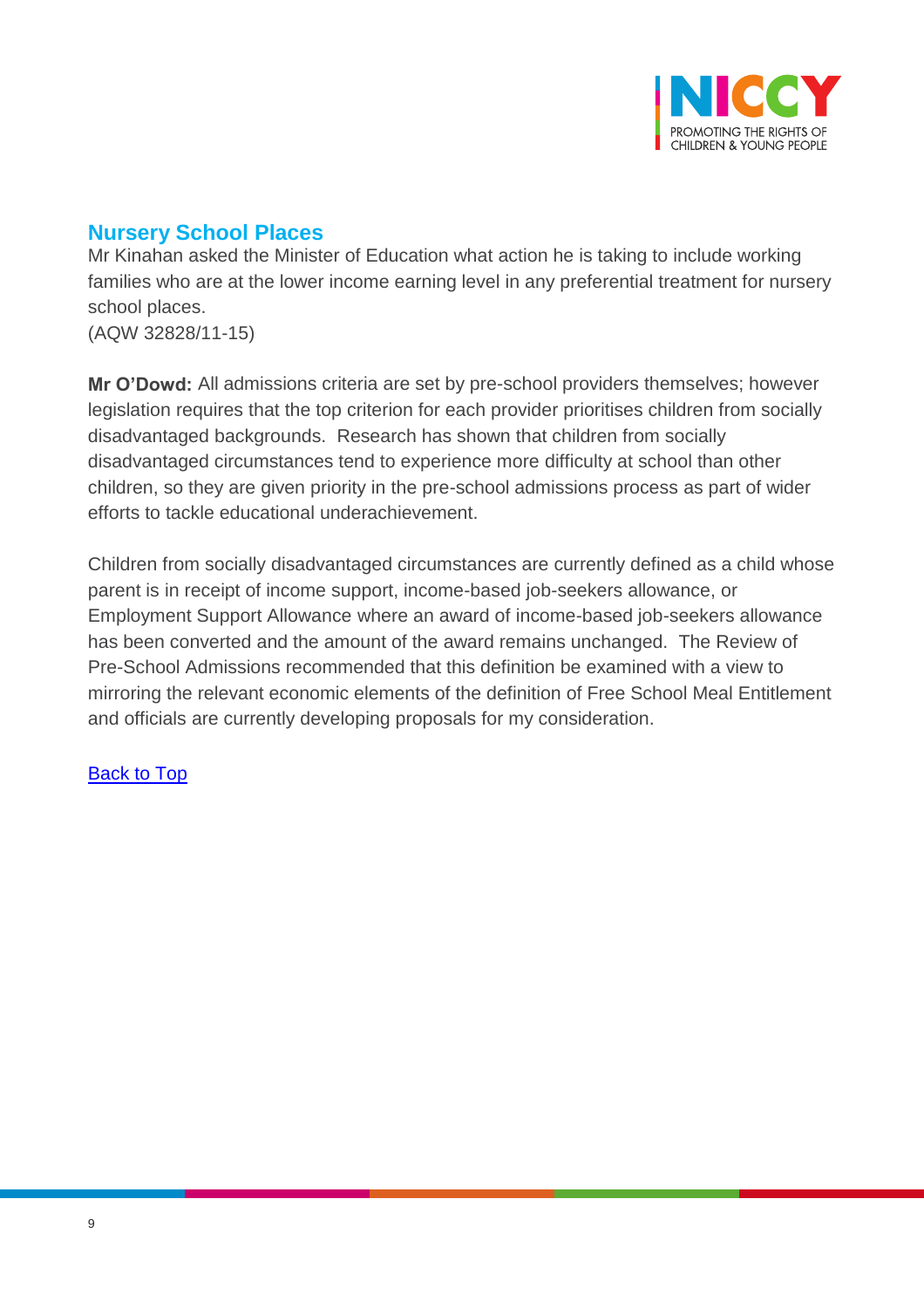

# <span id="page-8-0"></span>**Nursery School Places**

Mr Kinahan asked the Minister of Education what action he is taking to include working families who are at the lower income earning level in any preferential treatment for nursery school places.

(AQW 32828/11-15)

**Mr O'Dowd:** All admissions criteria are set by pre-school providers themselves; however legislation requires that the top criterion for each provider prioritises children from socially disadvantaged backgrounds. Research has shown that children from socially disadvantaged circumstances tend to experience more difficulty at school than other children, so they are given priority in the pre-school admissions process as part of wider efforts to tackle educational underachievement.

Children from socially disadvantaged circumstances are currently defined as a child whose parent is in receipt of income support, income-based job-seekers allowance, or Employment Support Allowance where an award of income-based job-seekers allowance has been converted and the amount of the award remains unchanged. The Review of Pre-School Admissions recommended that this definition be examined with a view to mirroring the relevant economic elements of the definition of Free School Meal Entitlement and officials are currently developing proposals for my consideration.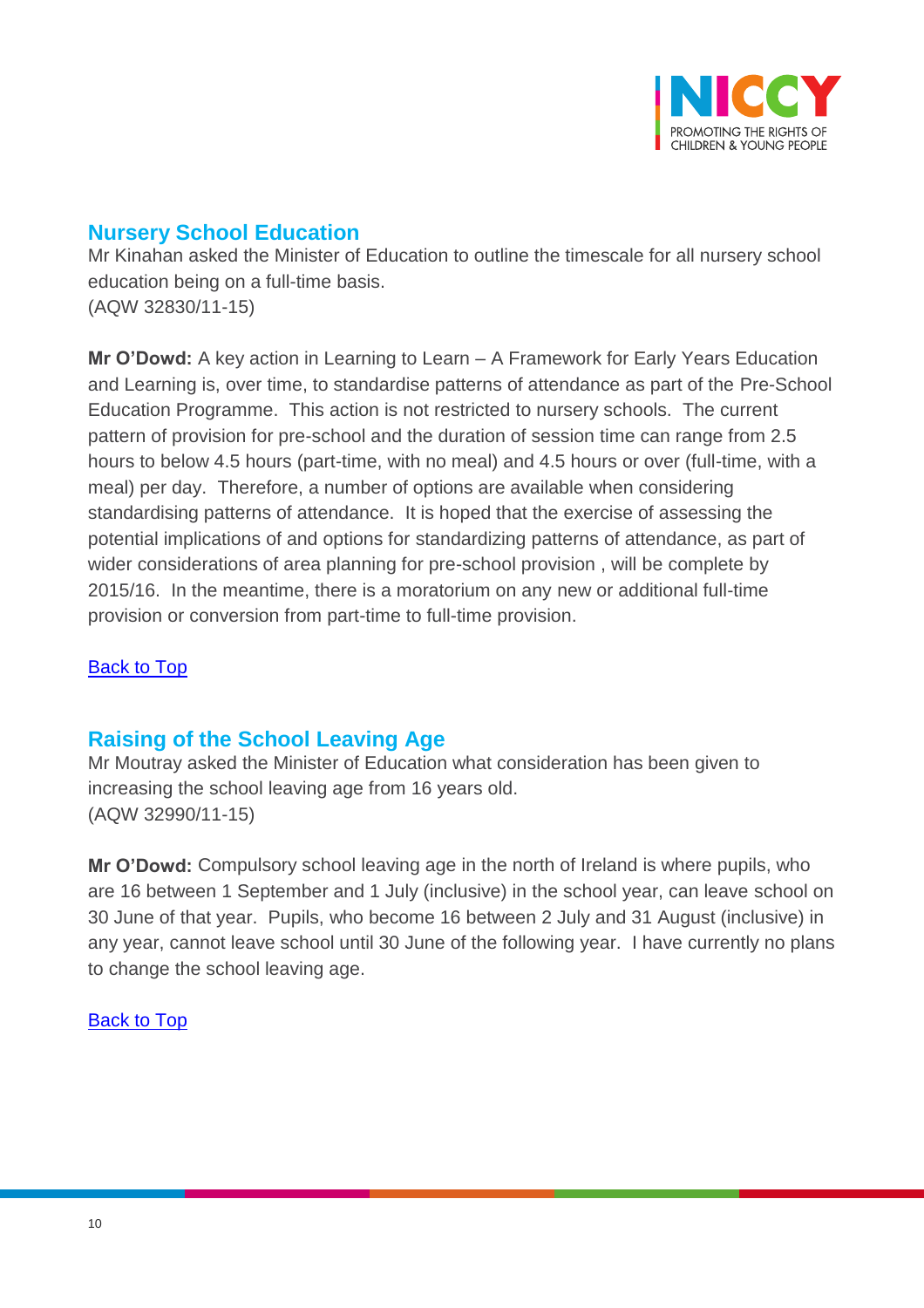

### <span id="page-9-0"></span>**Nursery School Education**

Mr Kinahan asked the Minister of Education to outline the timescale for all nursery school education being on a full-time basis. (AQW 32830/11-15)

**Mr O'Dowd:** A key action in Learning to Learn – A Framework for Early Years Education and Learning is, over time, to standardise patterns of attendance as part of the Pre-School Education Programme. This action is not restricted to nursery schools. The current pattern of provision for pre-school and the duration of session time can range from 2.5 hours to below 4.5 hours (part-time, with no meal) and 4.5 hours or over (full-time, with a meal) per day. Therefore, a number of options are available when considering standardising patterns of attendance. It is hoped that the exercise of assessing the potential implications of and options for standardizing patterns of attendance, as part of wider considerations of area planning for pre-school provision , will be complete by 2015/16. In the meantime, there is a moratorium on any new or additional full-time provision or conversion from part-time to full-time provision.

### **[Back to Top](#page-0-0)**

### <span id="page-9-1"></span>**Raising of the School Leaving Age**

Mr Moutray asked the Minister of Education what consideration has been given to increasing the school leaving age from 16 years old. (AQW 32990/11-15)

**Mr O'Dowd:** Compulsory school leaving age in the north of Ireland is where pupils, who are 16 between 1 September and 1 July (inclusive) in the school year, can leave school on 30 June of that year. Pupils, who become 16 between 2 July and 31 August (inclusive) in any year, cannot leave school until 30 June of the following year. I have currently no plans to change the school leaving age.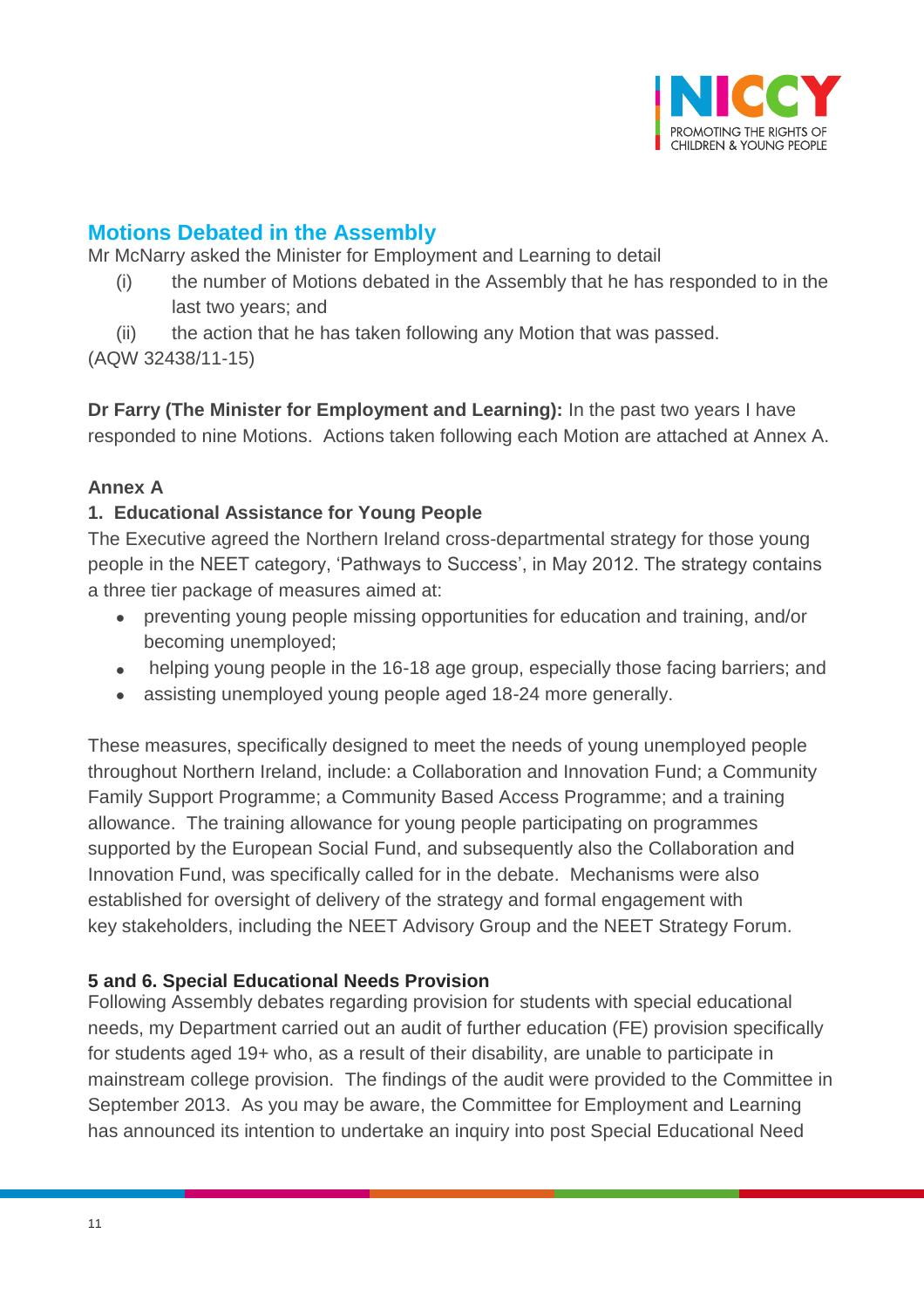

# <span id="page-10-0"></span>**Motions Debated in the Assembly**

Mr McNarry asked the Minister for Employment and Learning to detail

- (i) the number of Motions debated in the Assembly that he has responded to in the last two years; and
- (ii) the action that he has taken following any Motion that was passed.

(AQW 32438/11-15)

**Dr Farry (The Minister for Employment and Learning):** In the past two years I have responded to nine Motions. Actions taken following each Motion are attached at Annex A.

### **Annex A**

### **1. Educational Assistance for Young People**

The Executive agreed the Northern Ireland cross-departmental strategy for those young people in the NEET category, 'Pathways to Success', in May 2012. The strategy contains a three tier package of measures aimed at:

- preventing young people missing opportunities for education and training, and/or becoming unemployed;
- helping young people in the 16-18 age group, especially those facing barriers; and
- assisting unemployed young people aged 18-24 more generally.

These measures, specifically designed to meet the needs of young unemployed people throughout Northern Ireland, include: a Collaboration and Innovation Fund; a Community Family Support Programme; a Community Based Access Programme; and a training allowance. The training allowance for young people participating on programmes supported by the European Social Fund, and subsequently also the Collaboration and Innovation Fund, was specifically called for in the debate. Mechanisms were also established for oversight of delivery of the strategy and formal engagement with key stakeholders, including the NEET Advisory Group and the NEET Strategy Forum.

### **5 and 6. Special Educational Needs Provision**

Following Assembly debates regarding provision for students with special educational needs, my Department carried out an audit of further education (FE) provision specifically for students aged 19+ who, as a result of their disability, are unable to participate in mainstream college provision. The findings of the audit were provided to the Committee in September 2013. As you may be aware, the Committee for Employment and Learning has announced its intention to undertake an inquiry into post Special Educational Need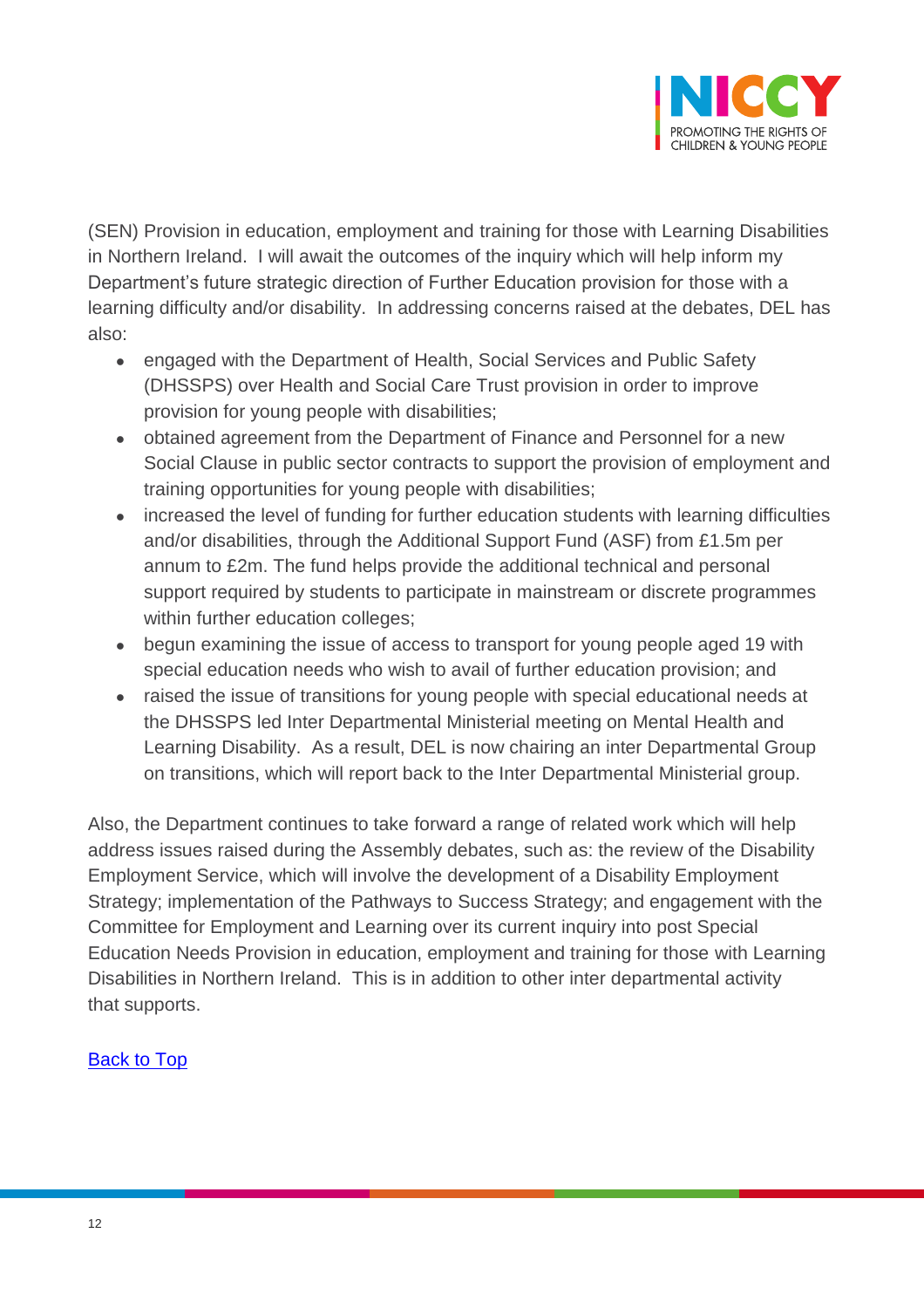

(SEN) Provision in education, employment and training for those with Learning Disabilities in Northern Ireland. I will await the outcomes of the inquiry which will help inform my Department's future strategic direction of Further Education provision for those with a learning difficulty and/or disability. In addressing concerns raised at the debates, DEL has also:

- engaged with the Department of Health, Social Services and Public Safety (DHSSPS) over Health and Social Care Trust provision in order to improve provision for young people with disabilities;
- obtained agreement from the Department of Finance and Personnel for a new Social Clause in public sector contracts to support the provision of employment and training opportunities for young people with disabilities;
- increased the level of funding for further education students with learning difficulties and/or disabilities, through the Additional Support Fund (ASF) from £1.5m per annum to £2m. The fund helps provide the additional technical and personal support required by students to participate in mainstream or discrete programmes within further education colleges;
- begun examining the issue of access to transport for young people aged 19 with special education needs who wish to avail of further education provision; and
- raised the issue of transitions for young people with special educational needs at the DHSSPS led Inter Departmental Ministerial meeting on Mental Health and Learning Disability. As a result, DEL is now chairing an inter Departmental Group on transitions, which will report back to the Inter Departmental Ministerial group.

Also, the Department continues to take forward a range of related work which will help address issues raised during the Assembly debates, such as: the review of the Disability Employment Service, which will involve the development of a Disability Employment Strategy; implementation of the Pathways to Success Strategy; and engagement with the Committee for Employment and Learning over its current inquiry into post Special Education Needs Provision in education, employment and training for those with Learning Disabilities in Northern Ireland. This is in addition to other inter departmental activity that supports.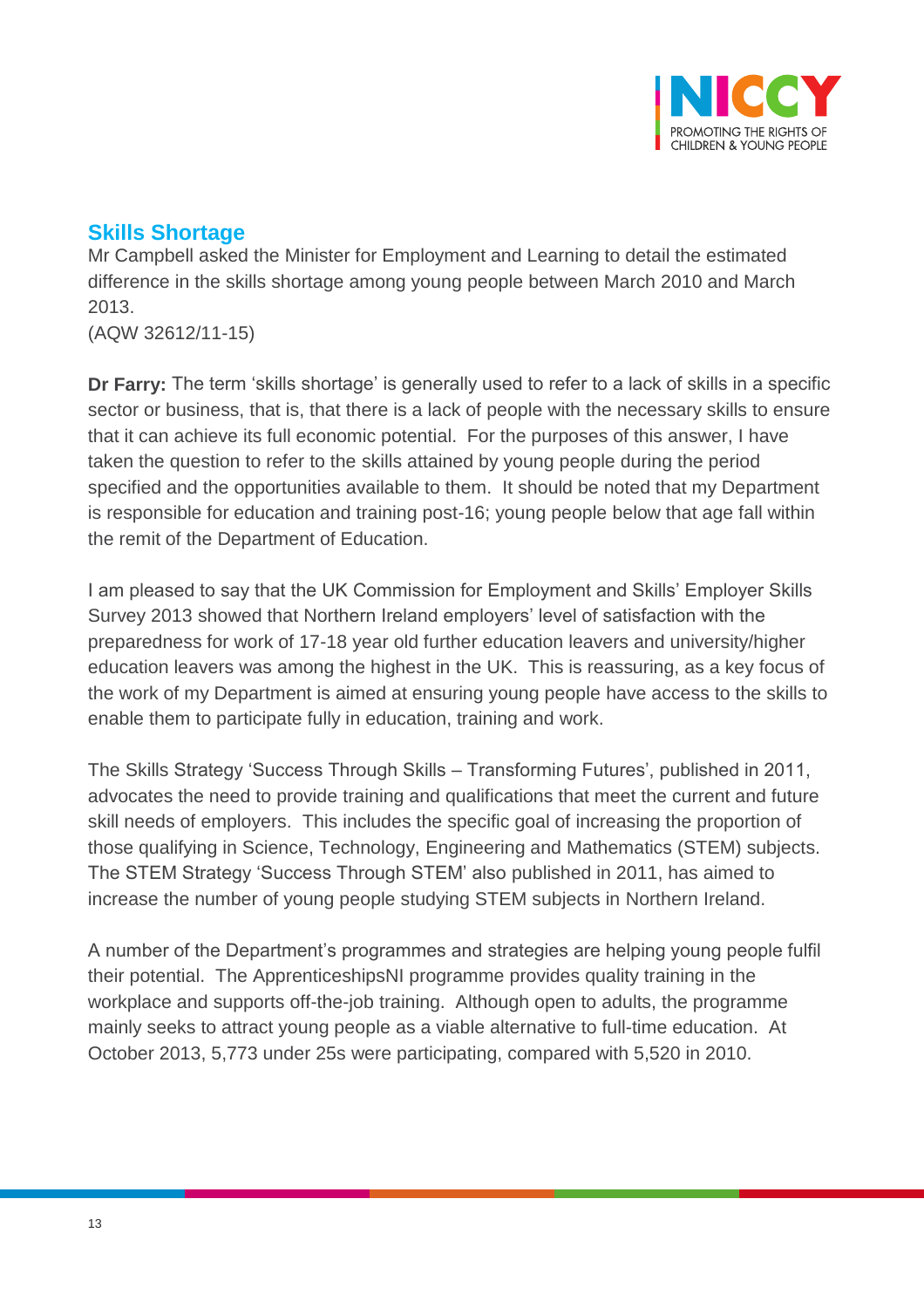

## <span id="page-12-0"></span>**Skills Shortage**

Mr Campbell asked the Minister for Employment and Learning to detail the estimated difference in the skills shortage among young people between March 2010 and March 2013.

(AQW 32612/11-15)

**Dr Farry:** The term 'skills shortage' is generally used to refer to a lack of skills in a specific sector or business, that is, that there is a lack of people with the necessary skills to ensure that it can achieve its full economic potential. For the purposes of this answer, I have taken the question to refer to the skills attained by young people during the period specified and the opportunities available to them. It should be noted that my Department is responsible for education and training post-16; young people below that age fall within the remit of the Department of Education.

I am pleased to say that the UK Commission for Employment and Skills' Employer Skills Survey 2013 showed that Northern Ireland employers' level of satisfaction with the preparedness for work of 17-18 year old further education leavers and university/higher education leavers was among the highest in the UK. This is reassuring, as a key focus of the work of my Department is aimed at ensuring young people have access to the skills to enable them to participate fully in education, training and work.

The Skills Strategy 'Success Through Skills – Transforming Futures', published in 2011, advocates the need to provide training and qualifications that meet the current and future skill needs of employers. This includes the specific goal of increasing the proportion of those qualifying in Science, Technology, Engineering and Mathematics (STEM) subjects. The STEM Strategy 'Success Through STEM' also published in 2011, has aimed to increase the number of young people studying STEM subjects in Northern Ireland.

A number of the Department's programmes and strategies are helping young people fulfil their potential. The ApprenticeshipsNI programme provides quality training in the workplace and supports off-the-job training. Although open to adults, the programme mainly seeks to attract young people as a viable alternative to full-time education. At October 2013, 5,773 under 25s were participating, compared with 5,520 in 2010.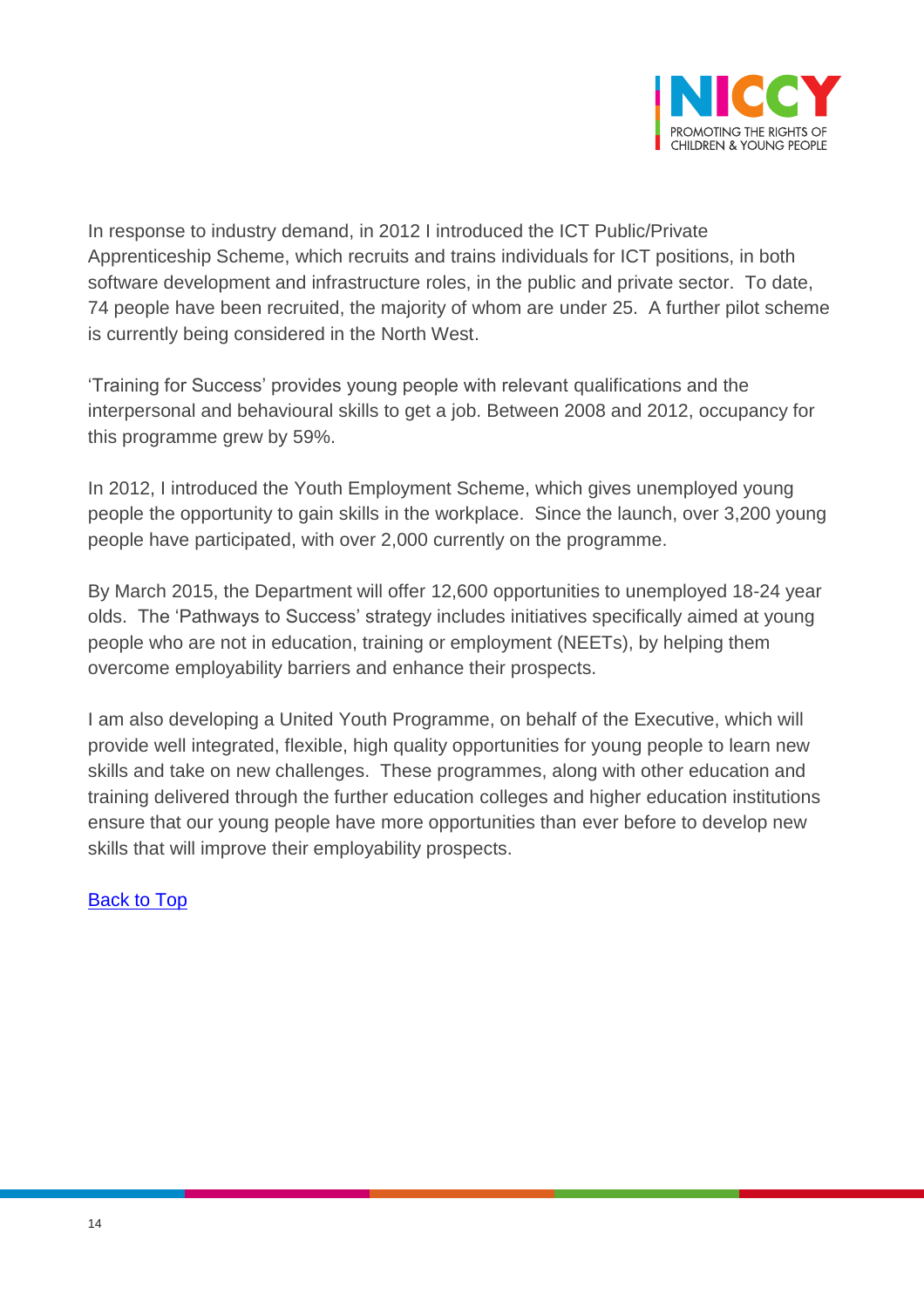

In response to industry demand, in 2012 I introduced the ICT Public/Private Apprenticeship Scheme, which recruits and trains individuals for ICT positions, in both software development and infrastructure roles, in the public and private sector. To date, 74 people have been recruited, the majority of whom are under 25. A further pilot scheme is currently being considered in the North West.

'Training for Success' provides young people with relevant qualifications and the interpersonal and behavioural skills to get a job. Between 2008 and 2012, occupancy for this programme grew by 59%.

In 2012, I introduced the Youth Employment Scheme, which gives unemployed young people the opportunity to gain skills in the workplace. Since the launch, over 3,200 young people have participated, with over 2,000 currently on the programme.

By March 2015, the Department will offer 12,600 opportunities to unemployed 18-24 year olds. The 'Pathways to Success' strategy includes initiatives specifically aimed at young people who are not in education, training or employment (NEETs), by helping them overcome employability barriers and enhance their prospects.

I am also developing a United Youth Programme, on behalf of the Executive, which will provide well integrated, flexible, high quality opportunities for young people to learn new skills and take on new challenges. These programmes, along with other education and training delivered through the further education colleges and higher education institutions ensure that our young people have more opportunities than ever before to develop new skills that will improve their employability prospects.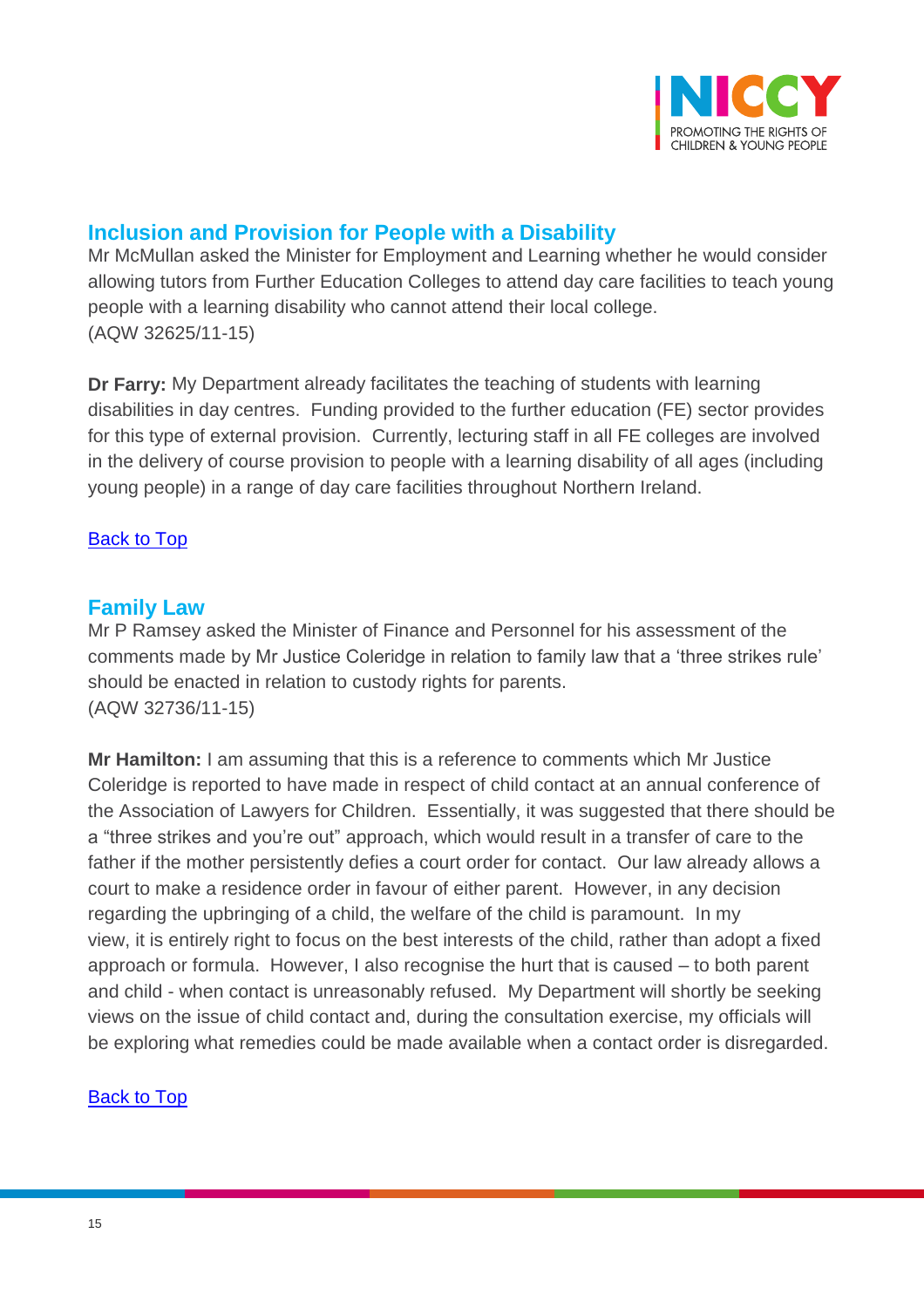

# <span id="page-14-0"></span>**Inclusion and Provision for People with a Disability**

Mr McMullan asked the Minister for Employment and Learning whether he would consider allowing tutors from Further Education Colleges to attend day care facilities to teach young people with a learning disability who cannot attend their local college. (AQW 32625/11-15)

**Dr Farry:** My Department already facilitates the teaching of students with learning disabilities in day centres. Funding provided to the further education (FE) sector provides for this type of external provision. Currently, lecturing staff in all FE colleges are involved in the delivery of course provision to people with a learning disability of all ages (including young people) in a range of day care facilities throughout Northern Ireland.

#### [Back to Top](#page-0-0)

### <span id="page-14-1"></span>**Family Law**

Mr P Ramsey asked the Minister of Finance and Personnel for his assessment of the comments made by Mr Justice Coleridge in relation to family law that a 'three strikes rule' should be enacted in relation to custody rights for parents. (AQW 32736/11-15)

**Mr Hamilton:** I am assuming that this is a reference to comments which Mr Justice Coleridge is reported to have made in respect of child contact at an annual conference of the Association of Lawyers for Children. Essentially, it was suggested that there should be a "three strikes and you're out" approach, which would result in a transfer of care to the father if the mother persistently defies a court order for contact. Our law already allows a court to make a residence order in favour of either parent. However, in any decision regarding the upbringing of a child, the welfare of the child is paramount. In my view, it is entirely right to focus on the best interests of the child, rather than adopt a fixed approach or formula. However, I also recognise the hurt that is caused – to both parent and child - when contact is unreasonably refused. My Department will shortly be seeking views on the issue of child contact and, during the consultation exercise, my officials will be exploring what remedies could be made available when a contact order is disregarded.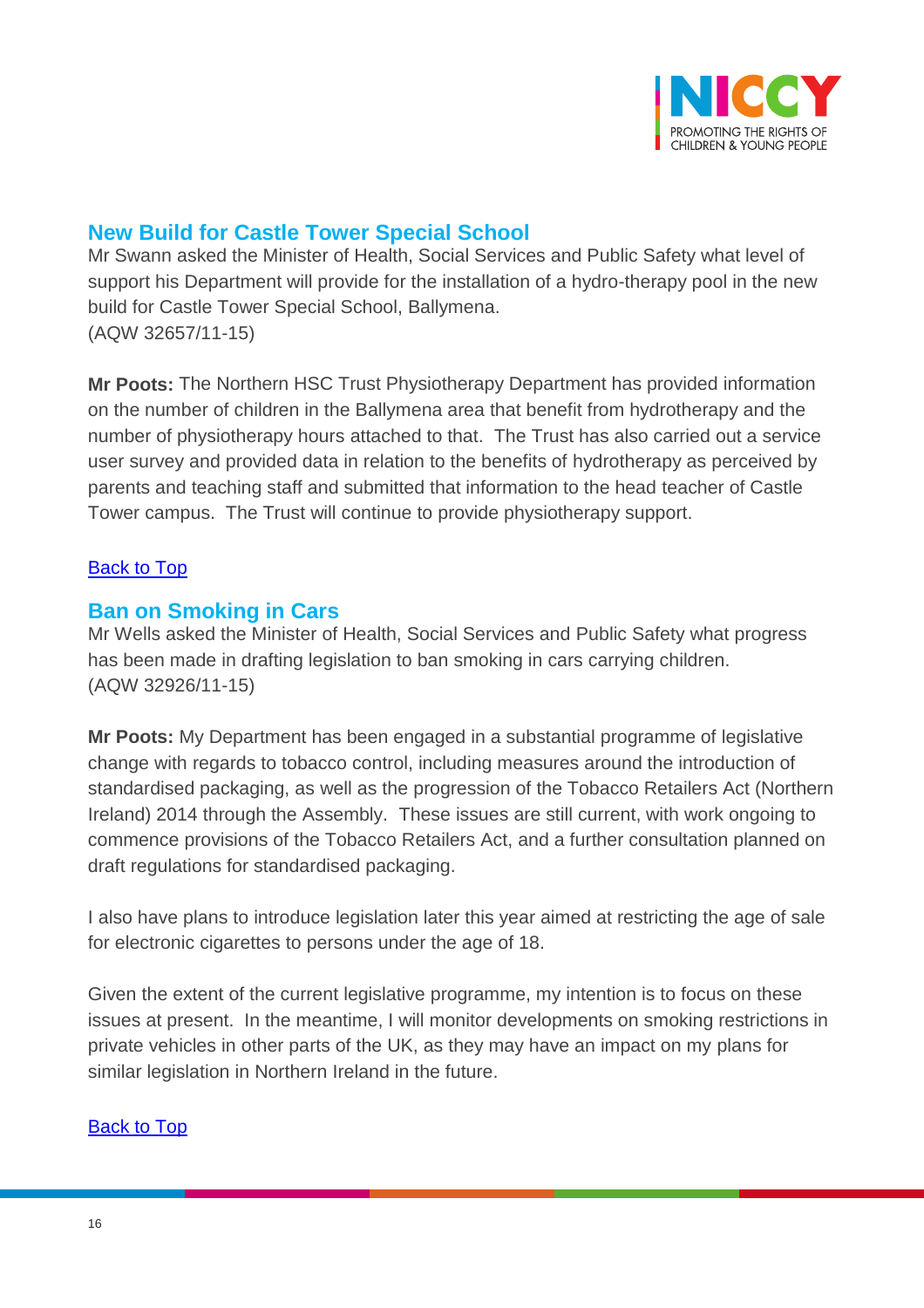

### <span id="page-15-0"></span>**New Build for Castle Tower Special School**

Mr Swann asked the Minister of Health, Social Services and Public Safety what level of support his Department will provide for the installation of a hydro-therapy pool in the new build for Castle Tower Special School, Ballymena. (AQW 32657/11-15)

**Mr Poots:** The Northern HSC Trust Physiotherapy Department has provided information on the number of children in the Ballymena area that benefit from hydrotherapy and the number of physiotherapy hours attached to that. The Trust has also carried out a service user survey and provided data in relation to the benefits of hydrotherapy as perceived by parents and teaching staff and submitted that information to the head teacher of Castle Tower campus. The Trust will continue to provide physiotherapy support.

#### **[Back to Top](#page-0-0)**

### <span id="page-15-1"></span>**Ban on Smoking in Cars**

Mr Wells asked the Minister of Health, Social Services and Public Safety what progress has been made in drafting legislation to ban smoking in cars carrying children. (AQW 32926/11-15)

**Mr Poots:** My Department has been engaged in a substantial programme of legislative change with regards to tobacco control, including measures around the introduction of standardised packaging, as well as the progression of the Tobacco Retailers Act (Northern Ireland) 2014 through the Assembly. These issues are still current, with work ongoing to commence provisions of the Tobacco Retailers Act, and a further consultation planned on draft regulations for standardised packaging.

I also have plans to introduce legislation later this year aimed at restricting the age of sale for electronic cigarettes to persons under the age of 18.

Given the extent of the current legislative programme, my intention is to focus on these issues at present. In the meantime, I will monitor developments on smoking restrictions in private vehicles in other parts of the UK, as they may have an impact on my plans for similar legislation in Northern Ireland in the future.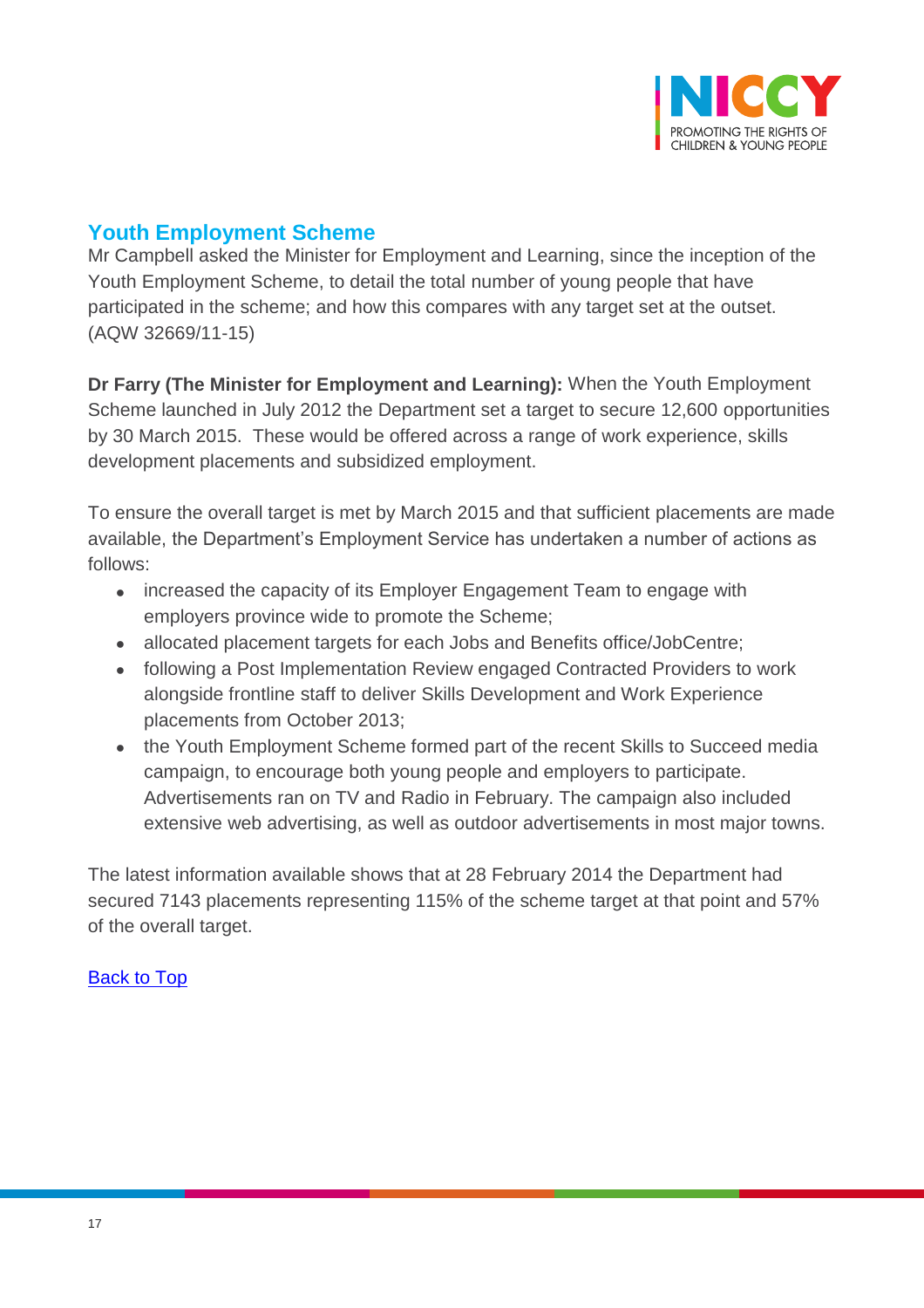

# <span id="page-16-0"></span>**Youth Employment Scheme**

Mr Campbell asked the Minister for Employment and Learning, since the inception of the Youth Employment Scheme, to detail the total number of young people that have participated in the scheme; and how this compares with any target set at the outset. (AQW 32669/11-15)

**Dr Farry (The Minister for Employment and Learning):** When the Youth Employment Scheme launched in July 2012 the Department set a target to secure 12,600 opportunities by 30 March 2015. These would be offered across a range of work experience, skills development placements and subsidized employment.

To ensure the overall target is met by March 2015 and that sufficient placements are made available, the Department's Employment Service has undertaken a number of actions as follows:

- increased the capacity of its Employer Engagement Team to engage with employers province wide to promote the Scheme;
- allocated placement targets for each Jobs and Benefits office/JobCentre;
- following a Post Implementation Review engaged Contracted Providers to work alongside frontline staff to deliver Skills Development and Work Experience placements from October 2013;
- the Youth Employment Scheme formed part of the recent Skills to Succeed media campaign, to encourage both young people and employers to participate. Advertisements ran on TV and Radio in February. The campaign also included extensive web advertising, as well as outdoor advertisements in most major towns.

The latest information available shows that at 28 February 2014 the Department had secured 7143 placements representing 115% of the scheme target at that point and 57% of the overall target.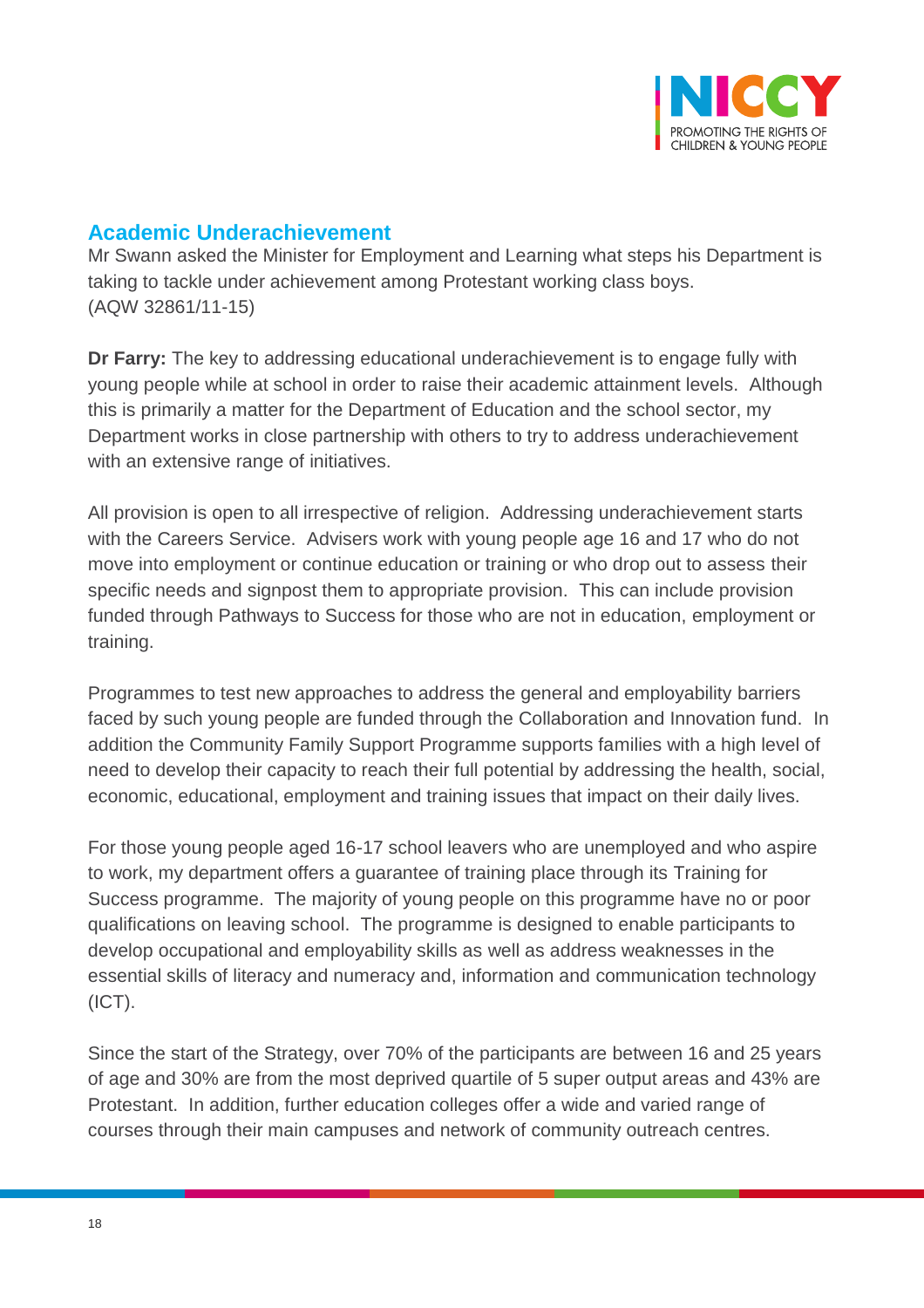

### <span id="page-17-0"></span>**Academic Underachievement**

Mr Swann asked the Minister for Employment and Learning what steps his Department is taking to tackle under achievement among Protestant working class boys. (AQW 32861/11-15)

**Dr Farry:** The key to addressing educational underachievement is to engage fully with young people while at school in order to raise their academic attainment levels. Although this is primarily a matter for the Department of Education and the school sector, my Department works in close partnership with others to try to address underachievement with an extensive range of initiatives.

All provision is open to all irrespective of religion. Addressing underachievement starts with the Careers Service. Advisers work with young people age 16 and 17 who do not move into employment or continue education or training or who drop out to assess their specific needs and signpost them to appropriate provision. This can include provision funded through Pathways to Success for those who are not in education, employment or training.

Programmes to test new approaches to address the general and employability barriers faced by such young people are funded through the Collaboration and Innovation fund. In addition the Community Family Support Programme supports families with a high level of need to develop their capacity to reach their full potential by addressing the health, social, economic, educational, employment and training issues that impact on their daily lives.

For those young people aged 16-17 school leavers who are unemployed and who aspire to work, my department offers a guarantee of training place through its Training for Success programme. The majority of young people on this programme have no or poor qualifications on leaving school. The programme is designed to enable participants to develop occupational and employability skills as well as address weaknesses in the essential skills of literacy and numeracy and, information and communication technology (ICT).

Since the start of the Strategy, over 70% of the participants are between 16 and 25 years of age and 30% are from the most deprived quartile of 5 super output areas and 43% are Protestant. In addition, further education colleges offer a wide and varied range of courses through their main campuses and network of community outreach centres.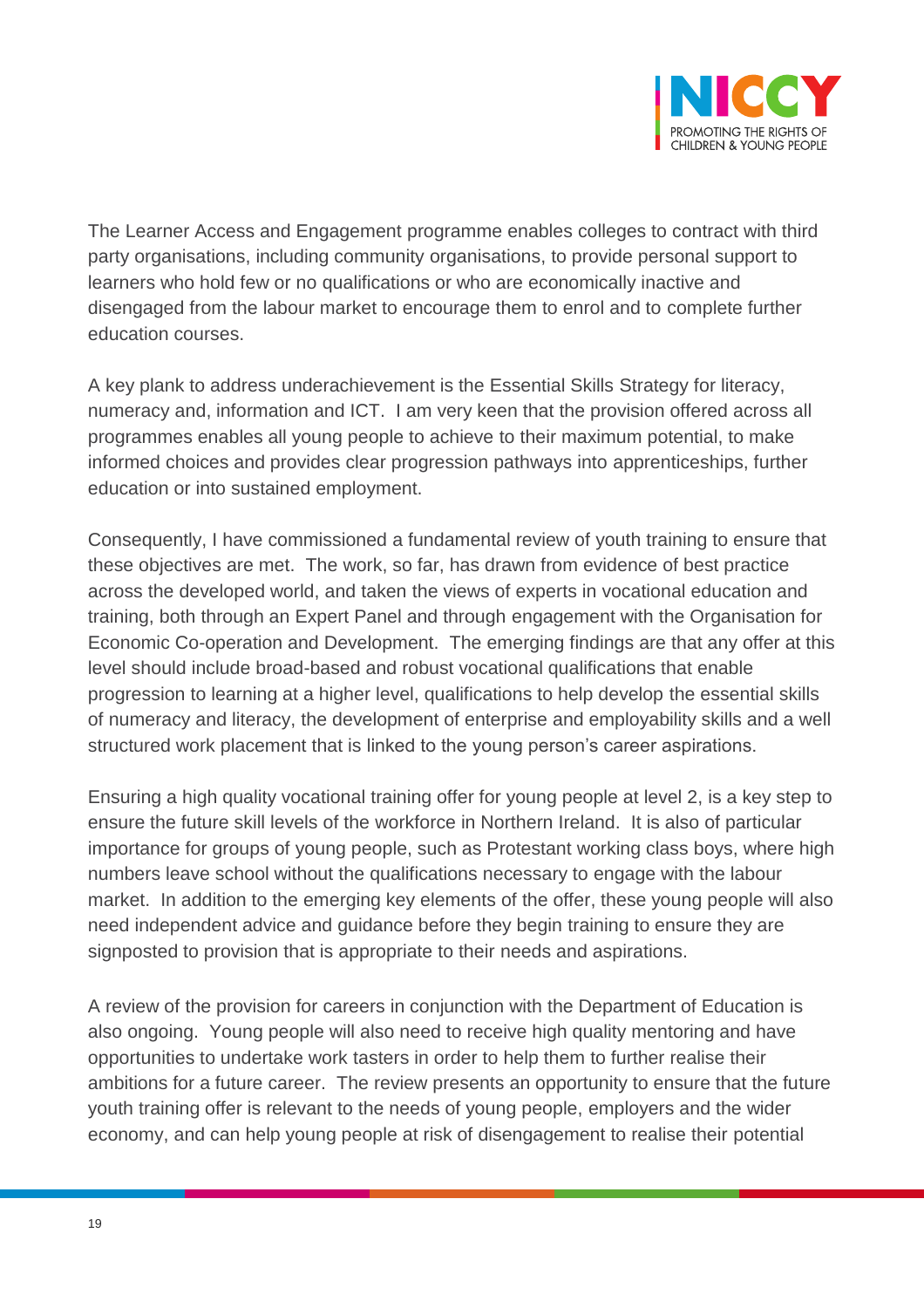

The Learner Access and Engagement programme enables colleges to contract with third party organisations, including community organisations, to provide personal support to learners who hold few or no qualifications or who are economically inactive and disengaged from the labour market to encourage them to enrol and to complete further education courses.

A key plank to address underachievement is the Essential Skills Strategy for literacy, numeracy and, information and ICT. I am very keen that the provision offered across all programmes enables all young people to achieve to their maximum potential, to make informed choices and provides clear progression pathways into apprenticeships, further education or into sustained employment.

Consequently, I have commissioned a fundamental review of youth training to ensure that these objectives are met. The work, so far, has drawn from evidence of best practice across the developed world, and taken the views of experts in vocational education and training, both through an Expert Panel and through engagement with the Organisation for Economic Co-operation and Development. The emerging findings are that any offer at this level should include broad-based and robust vocational qualifications that enable progression to learning at a higher level, qualifications to help develop the essential skills of numeracy and literacy, the development of enterprise and employability skills and a well structured work placement that is linked to the young person's career aspirations.

Ensuring a high quality vocational training offer for young people at level 2, is a key step to ensure the future skill levels of the workforce in Northern Ireland. It is also of particular importance for groups of young people, such as Protestant working class boys, where high numbers leave school without the qualifications necessary to engage with the labour market. In addition to the emerging key elements of the offer, these young people will also need independent advice and guidance before they begin training to ensure they are signposted to provision that is appropriate to their needs and aspirations.

A review of the provision for careers in conjunction with the Department of Education is also ongoing. Young people will also need to receive high quality mentoring and have opportunities to undertake work tasters in order to help them to further realise their ambitions for a future career. The review presents an opportunity to ensure that the future youth training offer is relevant to the needs of young people, employers and the wider economy, and can help young people at risk of disengagement to realise their potential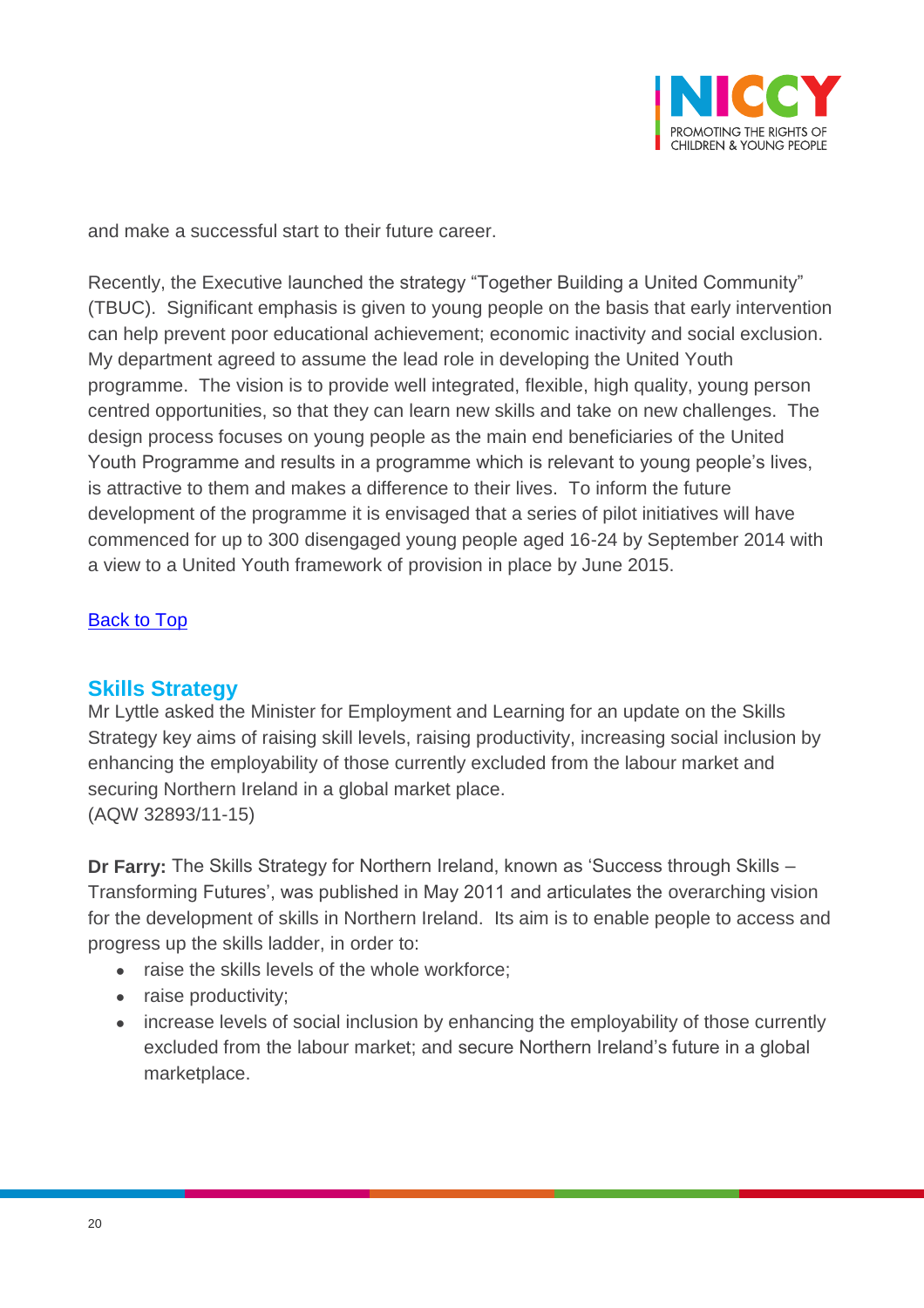

and make a successful start to their future career.

Recently, the Executive launched the strategy "Together Building a United Community" (TBUC). Significant emphasis is given to young people on the basis that early intervention can help prevent poor educational achievement; economic inactivity and social exclusion. My department agreed to assume the lead role in developing the United Youth programme. The vision is to provide well integrated, flexible, high quality, young person centred opportunities, so that they can learn new skills and take on new challenges. The design process focuses on young people as the main end beneficiaries of the United Youth Programme and results in a programme which is relevant to young people's lives, is attractive to them and makes a difference to their lives. To inform the future development of the programme it is envisaged that a series of pilot initiatives will have commenced for up to 300 disengaged young people aged 16-24 by September 2014 with a view to a United Youth framework of provision in place by June 2015.

#### [Back to](#page-0-0) Top

### <span id="page-19-0"></span>**Skills Strategy**

Mr Lyttle asked the Minister for Employment and Learning for an update on the Skills Strategy key aims of raising skill levels, raising productivity, increasing social inclusion by enhancing the employability of those currently excluded from the labour market and securing Northern Ireland in a global market place. (AQW 32893/11-15)

**Dr Farry:** The Skills Strategy for Northern Ireland, known as 'Success through Skills – Transforming Futures', was published in May 2011 and articulates the overarching vision for the development of skills in Northern Ireland. Its aim is to enable people to access and progress up the skills ladder, in order to:

- raise the skills levels of the whole workforce;
- raise productivity;
- increase levels of social inclusion by enhancing the employability of those currently excluded from the labour market; and secure Northern Ireland's future in a global marketplace.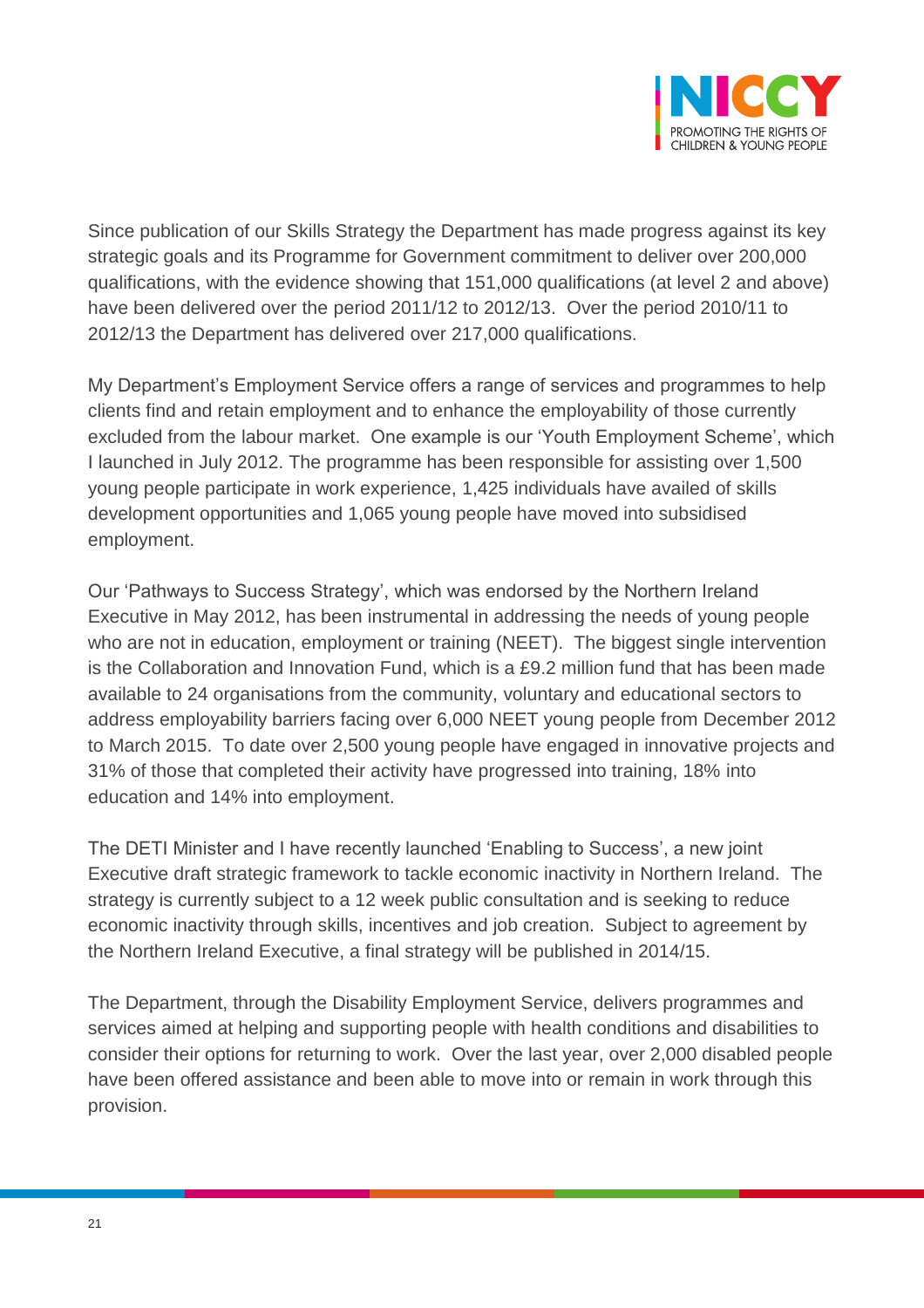

Since publication of our Skills Strategy the Department has made progress against its key strategic goals and its Programme for Government commitment to deliver over 200,000 qualifications, with the evidence showing that 151,000 qualifications (at level 2 and above) have been delivered over the period 2011/12 to 2012/13. Over the period 2010/11 to 2012/13 the Department has delivered over 217,000 qualifications.

My Department's Employment Service offers a range of services and programmes to help clients find and retain employment and to enhance the employability of those currently excluded from the labour market. One example is our 'Youth Employment Scheme', which I launched in July 2012. The programme has been responsible for assisting over 1,500 young people participate in work experience, 1,425 individuals have availed of skills development opportunities and 1,065 young people have moved into subsidised employment.

Our 'Pathways to Success Strategy', which was endorsed by the Northern Ireland Executive in May 2012, has been instrumental in addressing the needs of young people who are not in education, employment or training (NEET). The biggest single intervention is the Collaboration and Innovation Fund, which is a £9.2 million fund that has been made available to 24 organisations from the community, voluntary and educational sectors to address employability barriers facing over 6,000 NEET young people from December 2012 to March 2015. To date over 2,500 young people have engaged in innovative projects and 31% of those that completed their activity have progressed into training, 18% into education and 14% into employment.

The DETI Minister and I have recently launched 'Enabling to Success', a new joint Executive draft strategic framework to tackle economic inactivity in Northern Ireland. The strategy is currently subject to a 12 week public consultation and is seeking to reduce economic inactivity through skills, incentives and job creation. Subject to agreement by the Northern Ireland Executive, a final strategy will be published in 2014/15.

The Department, through the Disability Employment Service, delivers programmes and services aimed at helping and supporting people with health conditions and disabilities to consider their options for returning to work. Over the last year, over 2,000 disabled people have been offered assistance and been able to move into or remain in work through this provision.